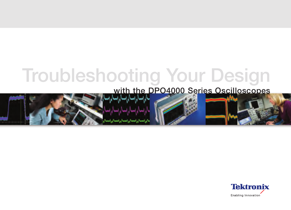# **Troubleshooting Your Design**

## **with the DPO4000 Series Oscilloscopes**



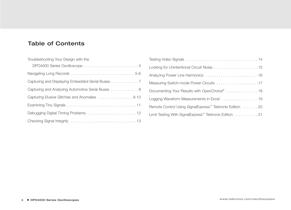## **Table of Contents**

| Troubleshooting Your Design with the               |
|----------------------------------------------------|
| DPO4000 Series Oscilloscope  4                     |
|                                                    |
| Capturing and Displaying Embedded Serial Buses 7   |
| Capturing and Analyzing Automotive Serial Buses  8 |
| Capturing Elusive Glitches and Anomalies 9-10      |
|                                                    |
|                                                    |
|                                                    |

| Analyzing Power Line Harmonics 16                                    |
|----------------------------------------------------------------------|
| Measuring Switch-mode Power Circuits 17                              |
| Documenting Your Results with OpenChoice®  18                        |
| Logging Waveform Measurements in Excel  19                           |
| Remote Control Using SignalExpress <sup>™</sup> Tektronix Edition 20 |
| Limit Testing With SignalExpress <sup>™</sup> Tektronix Edition 21   |
|                                                                      |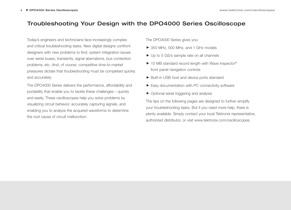## **Troubleshooting Your Design with the DPO4000 Series Oscilloscope**

Today's engineers and technicians face increasingly complex and critical troubleshooting tasks. New digital designs confront designers with new problems to find: system integration issues over serial buses, transients, signal aberrations, bus contention problems, etc. And, of course, competitive time-to-market pressures dictate that troubleshooting must be completed quickly and accurately.

The DPO4000 Series delivers the performance, affordability and portability that enable you to tackle these challenges – quickly and easily. These oscilloscopes help you solve problems by visualizing circuit behavior, accurately capturing signals, and enabling you to analyze the acquired waveforms to determine the root cause of circuit malfunction.

The DPO4000 Series gives you:

- ▶ 350 MHz, 500 MHz, and 1 GHz models
- ▶ Up to 5 GS/s sample rate on all channels
- ▶ 10 MB standard record length with Wave Inspector<sup>®</sup> front panel navigation controls
- ▶ Built-in USB host and device ports standard
- Easy documentation with PC connectivity software
- ▶ Optional serial triggering and analysis

The tips on the following pages are designed to further simplify your troubleshooting tasks. But if you need more help, there is plenty available. Simply contact your local Tektronix representative, authorized distributor, or visit www.tektronix.com/oscilloscopes.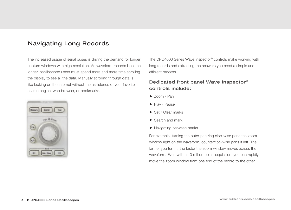## **Navigating Long Records**

The increased usage of serial buses is driving the demand for longer capture windows with high resolution. As waveform records become longer, oscilloscope users must spend more and more time scrolling the display to see all the data. Manually scrolling through data is like looking on the Internet without the assistance of your favorite search engine, web browser, or bookmarks.



The DPO4000 Series Wave Inspector® controls make working with long records and extracting the answers you need a simple and efficient process.

#### **Dedicated front panel Wave Inspector® controls include:**

- ▶ Zoom / Pan
- Play / Pause
- ▶ Set / Clear marks
- ▶ Search and mark
- ▶ Navigating between marks

For example, turning the outer pan ring clockwise pans the zoom window right on the waveform, counterclockwise pans it left. The farther you turn it, the faster the zoom window moves across the waveform. Even with a 10 million point acquisition, you can rapidly move the zoom window from one end of the record to the other.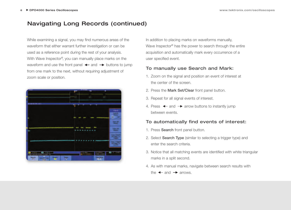## **Navigating Long Records (continued)**

While examining a signal, you may find numerous areas of the waveform that either warrant further investigation or can be used as a reference point during the rest of your analysis. With Wave Inspector<sup>®</sup>, you can manually place marks on the waveform and use the front panel  $\leftarrow$  and  $\rightarrow$  buttons to jump from one mark to the next, without requiring adjustment of zoom scale or position.



In addition to placing marks on waveforms manually, Wave Inspector® has the power to search through the entire acquisition and automatically mark every occurrence of a user specified event.

#### **To manually use Search and Mark:**

- 1. Zoom on the signal and position an event of interest at the center of the screen.
- 2. Press the **Mark Set/Clear** front panel button.
- 3. Repeat for all signal events of interest.
- 4. Press  $\leftarrow$  and  $\rightarrow$  arrow buttons to instantly jump between events.

#### **To automatically find events of interest:**

- 1. Press **Search** front panel button.
- 2. Select **Search Type** (similar to selecting a trigger type) and enter the search criteria.
- 3. Notice that all matching events are identified with white triangular marks in a split second.
- 4. As with manual marks, navigate between search results with the  $\leftarrow$  and  $\rightarrow$  arrows.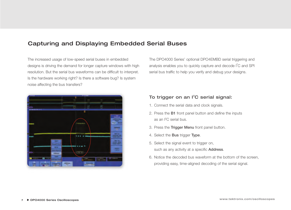## **Capturing and Displaying Embedded Serial Buses**

The increased usage of low-speed serial buses in embedded designs is driving the demand for longer capture windows with high resolution. But the serial bus waveforms can be difficult to interpret. Is the hardware working right? Is there a software bug? Is system noise affecting the bus transfers?

The DPO4000 Series' optional DPO4EMBD serial triggering and analysis enables you to quickly capture and decode I<sup>2</sup>C and SPI serial bus traffic to help you verify and debug your designs.



#### **To trigger on an I<sup>2</sup> C serial signal:**

- 1. Connect the serial data and clock signals.
- 2. Press the **B1** front panel button and define the inputs as an I2 C serial bus.
- 3. Press the **Trigger Menu** front panel button.
- 4. Select the **Bus** trigger **Type**.
- 5. Select the signal event to trigger on, such as any activity at a specific **Address**.
- 6. Notice the decoded bus waveform at the bottom of the screen, providing easy, time-aligned decoding of the serial signal.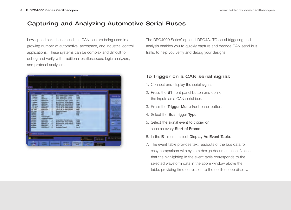## **Capturing and Analyzing Automotive Serial Buses**

Low-speed serial buses such as CAN bus are being used in a growing number of automotive, aerospace, and industrial control applications. These systems can be complex and difficult to debug and verify with traditional oscilloscopes, logic analyzers, and protocol analyzers.



The DPO4000 Series' optional DPO4AUTO serial triggering and analysis enables you to quickly capture and decode CAN serial bus traffic to help you verify and debug your designs.

#### **To trigger on a CAN serial signal:**

- 1. Connect and display the serial signal.
- 2. Press the **B1** front panel button and define the inputs as a CAN serial bus.
- 3. Press the **Trigger Menu** front panel button.
- 4. Select the **Bus** trigger **Type**.
- 5. Select the signal event to trigger on, such as every **Start of Frame**.
- 6. In the **B1** menu, select **Display As Event Table**.
- 7. The event table provides text readouts of the bus data for easy comparison with system design documentation. Notice that the highlighting in the event table corresponds to the selected waveform data in the zoom window above the table, providing time correlation to the oscilloscope display.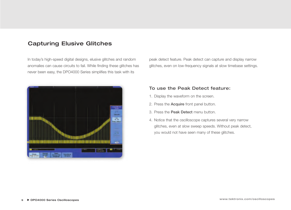## **Capturing Elusive Glitches**

In today's high-speed digital designs, elusive glitches and random anomalies can cause circuits to fail. While finding these glitches has never been easy, the DPO4000 Series simplifies this task with its

peak detect feature. Peak detect can capture and display narrow glitches, even on low-frequency signals at slow timebase settings.



#### **To use the Peak Detect feature:**

- 1. Display the waveform on the screen.
- 2. Press the **Acquire** front panel button.
- 3. Press the **Peak Detect** menu button.
- 4. Notice that the oscilloscope captures several very narrow glitches, even at slow sweep speeds. Without peak detect, you would not have seen many of these glitches.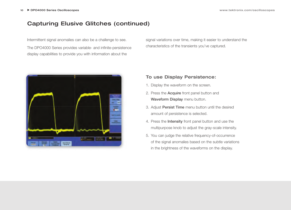## **Capturing Elusive Glitches (continued)**

Intermittent signal anomalies can also be a challenge to see. The DPO4000 Series provides variable- and infinite-persistence display capabilities to provide you with information about the



signal variations over time, making it easier to understand the characteristics of the transients you've captured.

#### **To use Display Persistence:**

- 1. Display the waveform on the screen.
- 2. Press the **Acquire** front panel button and **Waveform Display** menu button.
- 3. Adjust **Persist Time** menu button until the desired amount of persistence is selected.
- 4. Press the **Intensity** front panel button and use the multipurpose knob to adjust the gray-scale intensity.
- 5. You can judge the relative frequency-of-occurrence of the signal anomalies based on the subtle variations in the brightness of the waveforms on the display.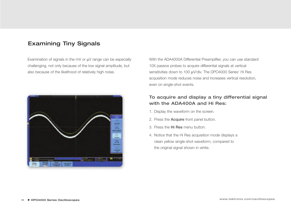## **Examining Tiny Signals**

Examination of signals in the mV or  $\mu$ V range can be especially challenging, not only because of the low signal amplitude, but also because of the likelihood of relatively high noise.



With the ADA4000A Differential Preamplifier, you can use standard 10X passive probes to acquire differential signals at vertical sensitivities down to 100 µV/div. The DPO4000 Series' Hi Res acquisition mode reduces noise and increases vertical resolution, even on single-shot events.

#### **To acquire and display a tiny differential signal with the ADA400A and Hi Res:**

- 1. Display the waveform on the screen.
- 2. Press the **Acquire** front panel button.
- 3. Press the **Hi Res** menu button.
- 4. Notice that the Hi Res acquisition mode displays a clean yellow single-shot waveform, compared to the original signal shown in white.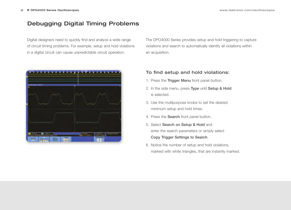## **Debugging Digital Timing Problems**

Digital designers need to quickly find and analyze a wide range of circuit timing problems. For example, setup and hold violations in a digital circuit can cause unpredictable circuit operation.



The DPO4000 Series provides setup and hold triggering to capture violations and search to automatically identify all violations within an acquisition.

#### **To find setup and hold violations:**

- 1. Press the **Trigger Menu** front panel button.
- 2. In the side menu, press **Type** until **Setup & Hold** is selected.
- 3. Use the multipurpose knobs to set the desired minimum setup and hold times.
- 4. Press the **Search** front panel button.
- 5. Select **Search on Setup & Hold** and enter the search parameters or simply select **Copy Trigger Settings to Search**.
- 6. Notice the number of setup and hold violations, marked with white triangles, that are instantly marked.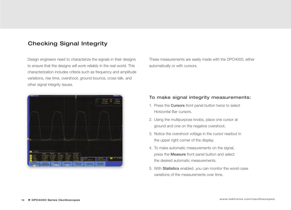## **Checking Signal Integrity**

Design engineers need to characterize the signals in their designs to ensure that the designs will work reliably in the real world. This characterization includes criteria such as frequency and amplitude variations, rise time, overshoot, ground bounce, cross talk, and other signal integrity issues.

These measurements are easily made with the DPO4000, either automatically or with cursors.

#### **To make signal integrity measurements:**

- 1. Press the **Cursors** front panel button twice to select Horizontal Bar cursors.
- 2. Using the multipurpose knobs, place one cursor at ground and one on the negative overshoot.
- 3. Notice the overshoot voltage in the cursor readout in the upper right corner of the display.
- 4. To make automatic measurements on the signal, press the **Measure** front panel button and select the desired automatic measurements.
- 5. With **Statistics** enabled, you can monitor the worst-case variations of the measurements over time.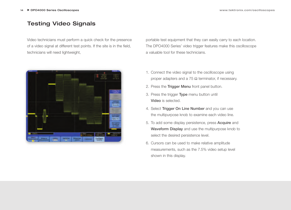## **Testing Video Signals**

Video technicians must perform a quick check for the presence of a video signal at different test points. If the site is in the field, technicians will need lightweight,



portable test equipment that they can easily carry to each location. The DPO4000 Series' video trigger features make this oscilloscope a valuable tool for these technicians.

- 1. Connect the video signal to the oscilloscope using proper adapters and a 75  $Ω$  terminator, if necessary.
- 2. Press the **Trigger Menu** front panel button.
- 3. Press the trigger **Type** menu button until **Video** is selected.
- 4. Select **Trigger On Line Number** and you can use the multipurpose knob to examine each video line.
- 5. To add some display persistence, press **Acquire** and **Waveform Display** and use the multipurpose knob to select the desired persistence level.
- 6. Cursors can be used to make relative amplitude measurements, such as the 7.5% video setup level shown in this display.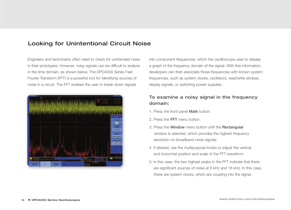## **Looking for Unintentional Circuit Noise**

Engineers and technicians often need to check for unintended noise in their prototypes. However, noisy signals can be difficult to analyze in the time domain, as shown below. The DPO4000 Series Fast Fourier Transform (FFT) is a powerful tool for identifying sources of noise in a circuit. The FFT enables the user to break down signals



into component frequencies, which the oscilloscope uses to display a graph of the frequency domain of the signal. With this information, developers can then associate those frequencies with known system frequencies, such as system clocks, oscillators, read/write strobes, display signals, or switching power supplies.

#### **To examine a noisy signal in the frequency domain:**

- 1. Press the front panel **Math** button.
- 2. Press the **FFT** menu button.
- 3. Press the **Window** menu button until the **Rectangular** window is selected, which provides the highest frequency resolution on broadband noise signals.
- 4. If desired, use the multipurpose knobs to adjust the vertical and horizontal position and scale of the FFT waveform.
- 5. In this case, the two highest peaks in the FFT indicate that there are significant sources of noise at 6 kHz and 16 kHz. In this case, these are system clocks, which are coupling into the signal.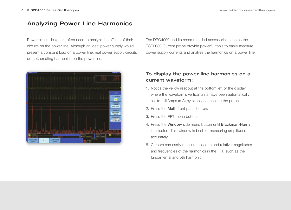## **Analyzing Power Line Harmonics**

Power circuit designers often need to analyze the effects of their circuits on the power line. Although an ideal power supply would present a constant load on a power line, real power supply circuits do not, creating harmonics on the power line.



The DPO4000 and its recommended accessories such as the TCP0030 Current probe provide powerful tools to easily measure power supply currents and analyze the harmonics on a power line.

#### **To display the power line harmonics on a current waveform:**

- 1. Notice the yellow readout at the bottom left of the display, where the waveform's vertical units have been automatically set to milliAmps (mA) by simply connecting the probe.
- 2. Press the **Math** front panel button.
- 3. Press the **FFT** menu button.
- 4. Press the **Window** side menu button until **Blackman-Harris** is selected. This window is best for measuring amplitudes accurately.
- 5. Cursors can easily measure absolute and relative magnitudes and frequencies of the harmonics in the FFT, such as the fundamental and 5th harmonic.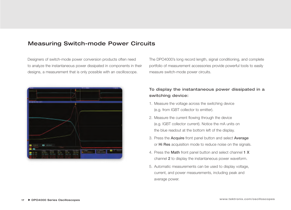### **Measuring Switch-mode Power Circuits**

Designers of switch-mode power conversion products often need to analyze the instantaneous power dissipated in components in their designs, a measurement that is only possible with an oscilloscope.



The DPO4000's long record length, signal conditioning, and complete portfolio of measurement accessories provide powerful tools to easily measure switch-mode power circuits.

#### **To display the instantaneous power dissipated in a switching device:**

- 1. Measure the voltage across the switching device (e.g. from IGBT collector to emitter).
- 2. Measure the current flowing through the device (e.g. IGBT collector current). Notice the mA units on the blue readout at the bottom left of the display.
- 3. Press the **Acquire** front panel button and select **Average** or **Hi Res** acquisition mode to reduce noise on the signals.
- 4. Press the **Math** front panel button and select channel **1 X** channel **2** to display the instantaneous power waveform.
- 5. Automatic measurements can be used to display voltage, current, and power measurements, including peak and average power.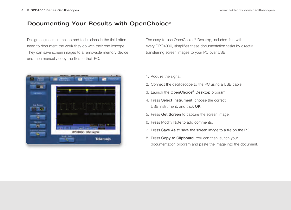## **Documenting Your Results with OpenChoice®**

Design engineers in the lab and technicians in the field often need to document the work they do with their oscilloscope. They can save screen images to a removable memory device and then manually copy the files to their PC.



The easy-to-use OpenChoice® Desktop, included free with every DPO4000, simplifies these documentation tasks by directly transferring screen images to your PC over USB.

- 1. Acquire the signal.
- 2. Connect the oscilloscope to the PC using a USB cable.
- 3. Launch the **OpenChoice® Desktop** program.
- 4. Press **Select Instrument**, choose the correct USB instrument, and click **OK**.
- 5. Press **Get Screen** to capture the screen image.
- 6. Press Modify Note to add comments.
- 7. Press **Save As** to save the screen image to a file on the PC.
- 8. Press **Copy to Clipboard**. You can then launch your documentation program and paste the image into the document.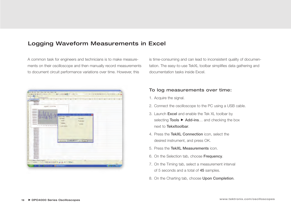## **Logging Waveform Measurements in Excel**

A common task for engineers and technicians is to make measurements on their oscilloscope and then manually record measurements to document circuit performance variations over time. However, this



is time-consuming and can lead to inconsistent quality of documentation. The easy-to-use TekXL toolbar simplifies data gathering and documentation tasks inside Excel.

#### **To log measurements over time:**

- 1. Acquire the signal.
- 2. Connect the oscilloscope to the PC using a USB cable.
- 3. Launch **Excel** and enable the Tek XL toolbar by selecting **Tools ► Add-ins**... and checking the box next to **Tekxltoolbar**.
- 4. Press the **TekXL Connection** icon, select the desired instrument, and press OK.
- 5. Press the **TekXL Measurements** icon.
- 6. On the Selection tab, choose **Frequency**.
- 7. On the Timing tab, select a measurement interval of 5 seconds and a total of **45** samples.
- 8. On the Charting tab, choose **Upon Completion**.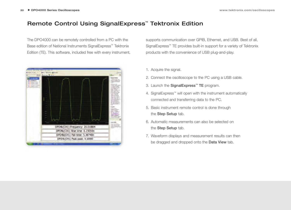## **Remote Control Using SignalExpress™ Tektronix Edition**

The DPO4000 can be remotely controlled from a PC with the Base edition of National Instruments SignalExpress™ Tektronix Edition (TE). This software, included free with every instrument,



supports communication over GPIB, Ethernet, and USB. Best of all, SignalExpress™ TE provides built-in support for a variety of Tektronix products with the convenience of USB plug-and-play.

- 1. Acquire the signal.
- 2. Connect the oscilloscope to the PC using a USB cable.
- 3. Launch the **SignalExpress™ TE** program.
- 4. SignalExpress™ will open with the instrument automatically connected and transferring data to the PC.
- 5. Basic instrument remote control is done through the **Step Setup** tab.
- 6. Automatic measurements can also be selected on the **Step Setup** tab.
- 7. Waveform displays and measurement results can then be dragged and dropped onto the **Data View** tab.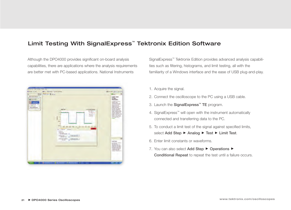## **Limit Testing With SignalExpress™ Tektronix Edition Software**

Although the DPO4000 provides significant on-board analysis capabilities, there are applications where the analysis requirements are better met with PC-based applications. National Instruments



SignalExpress™ Tektronix Edition provides advanced analysis capabilities such as filtering, histograms, and limit testing, all with the familiarity of a Windows interface and the ease of USB plug-and-play.

- 1. Acquire the signal.
- 2. Connect the oscilloscope to the PC using a USB cable.
- 3. Launch the **SignalExpress™ TE** program.
- 4. SignalExpress™ will open with the instrument automatically connected and transferring data to the PC.
- 5. To conduct a limit test of the signal against specified limits, select Add Step ▶ Analog ▶ Test ▶ Limit Test.
- 6. Enter limit constants or waveforms.
- 7. You can also select **Add Step ▶ Operations ▶ Conditional Repeat** to repeat the test until a failure occurs.